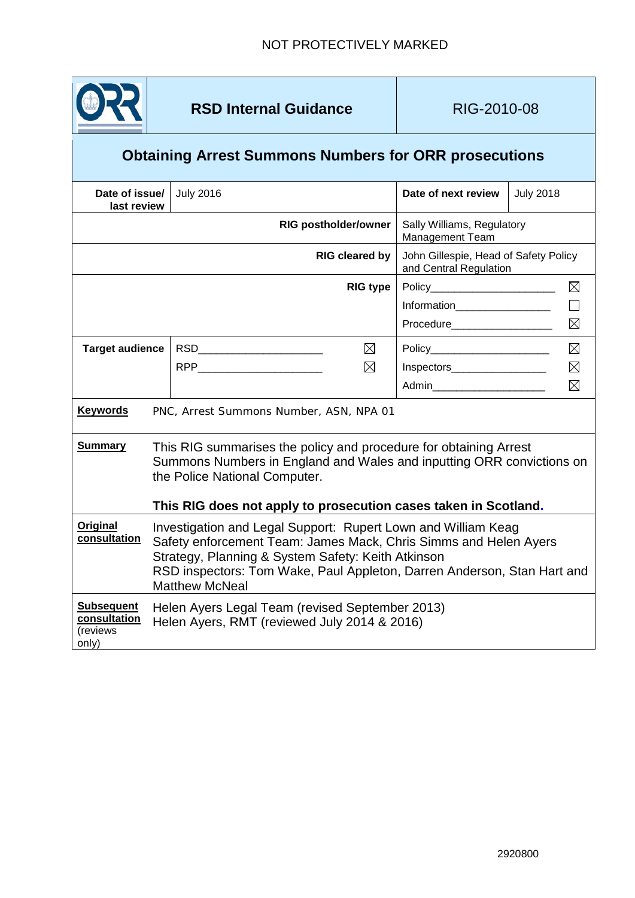

## **Obtaining Arrest Summons Numbers for ORR prosecutions**

<span id="page-0-0"></span>

| Date of issue/<br>last review                          |                                                                                                                                                                                                                                                                                             | <b>July 2016</b>              |                                                 | Date of next review                                             | <b>July 2018</b> |             |  |  |
|--------------------------------------------------------|---------------------------------------------------------------------------------------------------------------------------------------------------------------------------------------------------------------------------------------------------------------------------------------------|-------------------------------|-------------------------------------------------|-----------------------------------------------------------------|------------------|-------------|--|--|
| <b>RIG postholder/owner</b>                            |                                                                                                                                                                                                                                                                                             |                               | Sally Williams, Regulatory<br>Management Team   |                                                                 |                  |             |  |  |
| <b>RIG cleared by</b>                                  |                                                                                                                                                                                                                                                                                             |                               |                                                 | John Gillespie, Head of Safety Policy<br>and Central Regulation |                  |             |  |  |
| <b>RIG type</b>                                        |                                                                                                                                                                                                                                                                                             |                               | Policy__________________________<br>$\boxtimes$ |                                                                 |                  |             |  |  |
|                                                        |                                                                                                                                                                                                                                                                                             |                               |                                                 | Information___________________                                  |                  |             |  |  |
|                                                        |                                                                                                                                                                                                                                                                                             |                               |                                                 |                                                                 |                  | ⊠           |  |  |
| <b>Target audience</b>                                 |                                                                                                                                                                                                                                                                                             | RSD__________________________ | ⊠                                               | Policy__________________________                                |                  | $\boxtimes$ |  |  |
|                                                        |                                                                                                                                                                                                                                                                                             |                               | $\boxtimes$                                     | $Inspectors$ [100]                                              |                  | $\boxtimes$ |  |  |
|                                                        |                                                                                                                                                                                                                                                                                             |                               |                                                 | Admin_________________________                                  |                  | $\boxtimes$ |  |  |
| <b>Keywords</b>                                        | PNC, Arrest Summons Number, ASN, NPA 01                                                                                                                                                                                                                                                     |                               |                                                 |                                                                 |                  |             |  |  |
| <b>Summary</b>                                         | This RIG summarises the policy and procedure for obtaining Arrest<br>Summons Numbers in England and Wales and inputting ORR convictions on<br>the Police National Computer.<br>This RIG does not apply to prosecution cases taken in Scotland.                                              |                               |                                                 |                                                                 |                  |             |  |  |
| <b>Original</b><br>consultation                        | Investigation and Legal Support: Rupert Lown and William Keag<br>Safety enforcement Team: James Mack, Chris Simms and Helen Ayers<br>Strategy, Planning & System Safety: Keith Atkinson<br>RSD inspectors: Tom Wake, Paul Appleton, Darren Anderson, Stan Hart and<br><b>Matthew McNeal</b> |                               |                                                 |                                                                 |                  |             |  |  |
| <b>Subsequent</b><br>consultation<br>(reviews<br>only) | Helen Ayers Legal Team (revised September 2013)<br>Helen Ayers, RMT (reviewed July 2014 & 2016)                                                                                                                                                                                             |                               |                                                 |                                                                 |                  |             |  |  |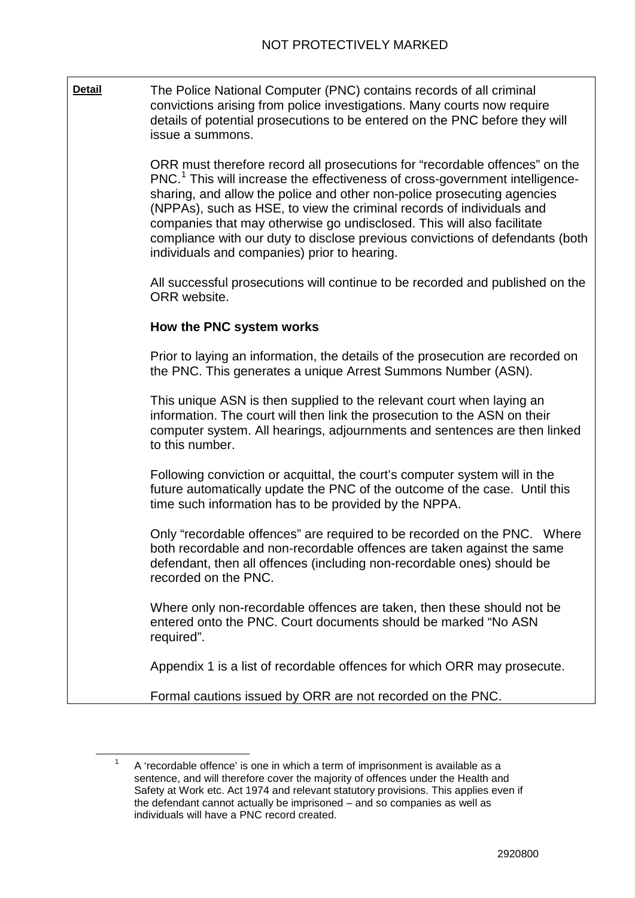**Detail** The Police National Computer (PNC) contains records of all criminal convictions arising from police investigations. Many courts now require details of potential prosecutions to be entered on the PNC before they will issue a summons.

> ORR must therefore record all prosecutions for "recordable offences" on the PNC.<sup>[1](#page-0-0)</sup> This will increase the effectiveness of cross-government intelligencesharing, and allow the police and other non-police prosecuting agencies (NPPAs), such as HSE, to view the criminal records of individuals and companies that may otherwise go undisclosed. This will also facilitate compliance with our duty to disclose previous convictions of defendants (both individuals and companies) prior to hearing.

> All successful prosecutions will continue to be recorded and published on the ORR website.

#### **How the PNC system works**

Prior to laying an information, the details of the prosecution are recorded on the PNC. This generates a unique Arrest Summons Number (ASN).

This unique ASN is then supplied to the relevant court when laying an information. The court will then link the prosecution to the ASN on their computer system. All hearings, adjournments and sentences are then linked to this number.

Following conviction or acquittal, the court's computer system will in the future automatically update the PNC of the outcome of the case. Until this time such information has to be provided by the NPPA.

Only "recordable offences" are required to be recorded on the PNC. Where both recordable and non-recordable offences are taken against the same defendant, then all offences (including non-recordable ones) should be recorded on the PNC.

Where only non-recordable offences are taken, then these should not be entered onto the PNC. Court documents should be marked "No ASN required".

Appendix 1 is a list of recordable offences for which ORR may prosecute.

Formal cautions issued by ORR are not recorded on the PNC.

 <sup>1</sup> A 'recordable offence' is one in which a term of imprisonment is available as a sentence, and will therefore cover the majority of offences under the Health and Safety at Work etc. Act 1974 and relevant statutory provisions. This applies even if the defendant cannot actually be imprisoned – and so companies as well as individuals will have a PNC record created.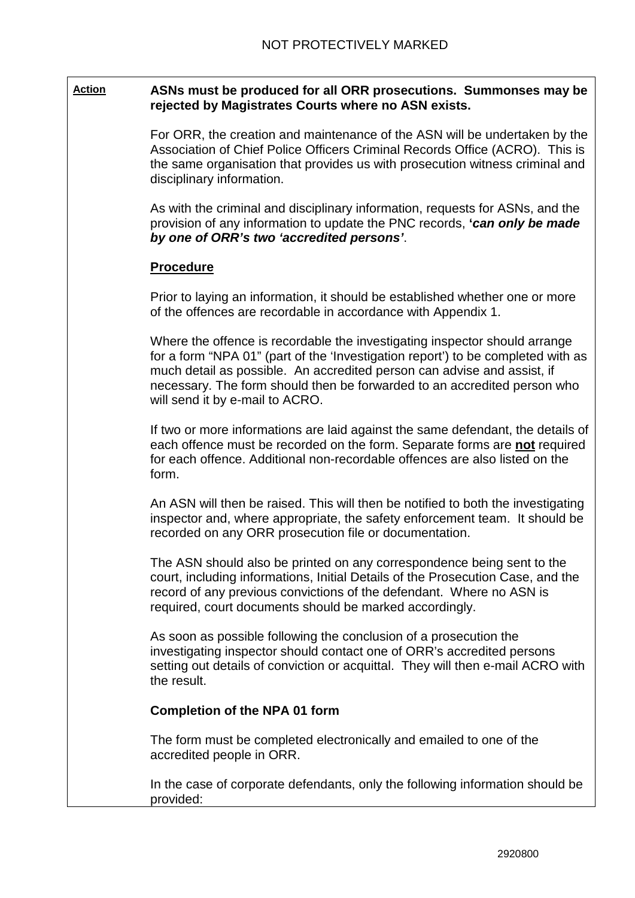#### **Action ASNs must be produced for all ORR prosecutions. Summonses may be rejected by Magistrates Courts where no ASN exists.**

For ORR, the creation and maintenance of the ASN will be undertaken by the Association of Chief Police Officers Criminal Records Office (ACRO). This is the same organisation that provides us with prosecution witness criminal and disciplinary information.

As with the criminal and disciplinary information, requests for ASNs, and the provision of any information to update the PNC records, **'***can only be made by one of ORR's two 'accredited persons'*.

#### **Procedure**

Prior to laying an information, it should be established whether one or more of the offences are recordable in accordance with Appendix 1.

Where the offence is recordable the investigating inspector should arrange for a form "NPA 01" (part of the 'Investigation report') to be completed with as much detail as possible. An accredited person can advise and assist, if necessary. The form should then be forwarded to an accredited person who will send it by e-mail to ACRO.

If two or more informations are laid against the same defendant, the details of each offence must be recorded on the form. Separate forms are **not** required for each offence. Additional non-recordable offences are also listed on the form.

An ASN will then be raised. This will then be notified to both the investigating inspector and, where appropriate, the safety enforcement team. It should be recorded on any ORR prosecution file or documentation.

The ASN should also be printed on any correspondence being sent to the court, including informations, Initial Details of the Prosecution Case, and the record of any previous convictions of the defendant. Where no ASN is required, court documents should be marked accordingly.

As soon as possible following the conclusion of a prosecution the investigating inspector should contact one of ORR's accredited persons setting out details of conviction or acquittal. They will then e-mail ACRO with the result.

#### **Completion of the NPA 01 form**

The form must be completed electronically and emailed to one of the accredited people in ORR.

In the case of corporate defendants, only the following information should be provided: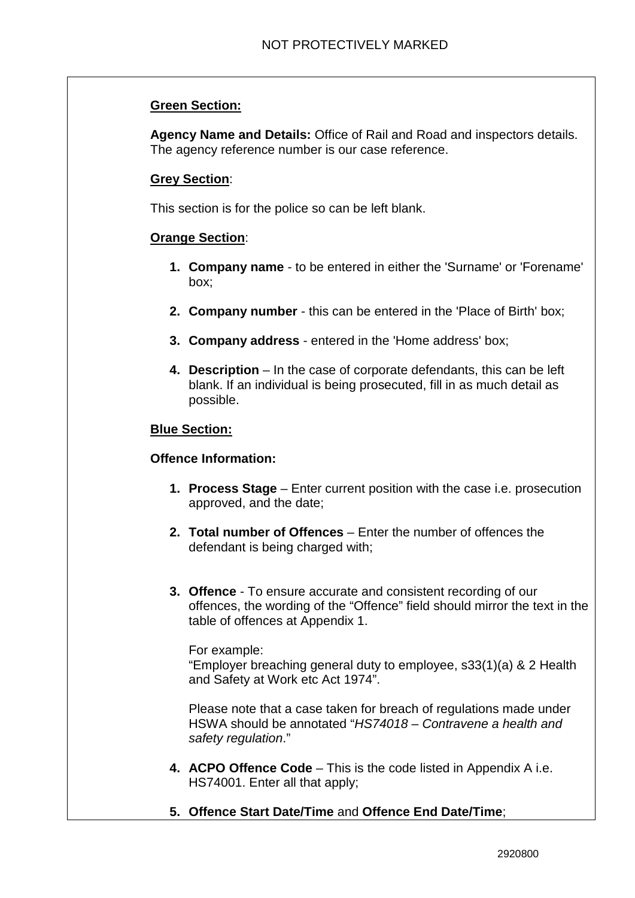#### **Green Section:**

**Agency Name and Details:** Office of Rail and Road and inspectors details. The agency reference number is our case reference.

#### **Grey Section**:

This section is for the police so can be left blank.

#### **Orange Section**:

- **1. Company name** to be entered in either the 'Surname' or 'Forename' box;
- **2. Company number** this can be entered in the 'Place of Birth' box;
- **3. Company address** entered in the 'Home address' box;
- **4. Description** In the case of corporate defendants, this can be left blank. If an individual is being prosecuted, fill in as much detail as possible.

#### **Blue Section:**

#### **Offence Information:**

- **1. Process Stage**  Enter current position with the case i.e. prosecution approved, and the date;
- **2. Total number of Offences**  Enter the number of offences the defendant is being charged with;
- **3. Offence** To ensure accurate and consistent recording of our offences, the wording of the "Offence" field should mirror the text in the table of offences at Appendix 1.

For example:

"Employer breaching general duty to employee, s33(1)(a) & 2 Health and Safety at Work etc Act 1974".

Please note that a case taken for breach of regulations made under HSWA should be annotated "*HS74018 – Contravene a health and safety regulation*."

- **4. ACPO Offence Code** This is the code listed in Appendix A i.e. HS74001. Enter all that apply;
- **5. Offence Start Date/Time** and **Offence End Date/Time**;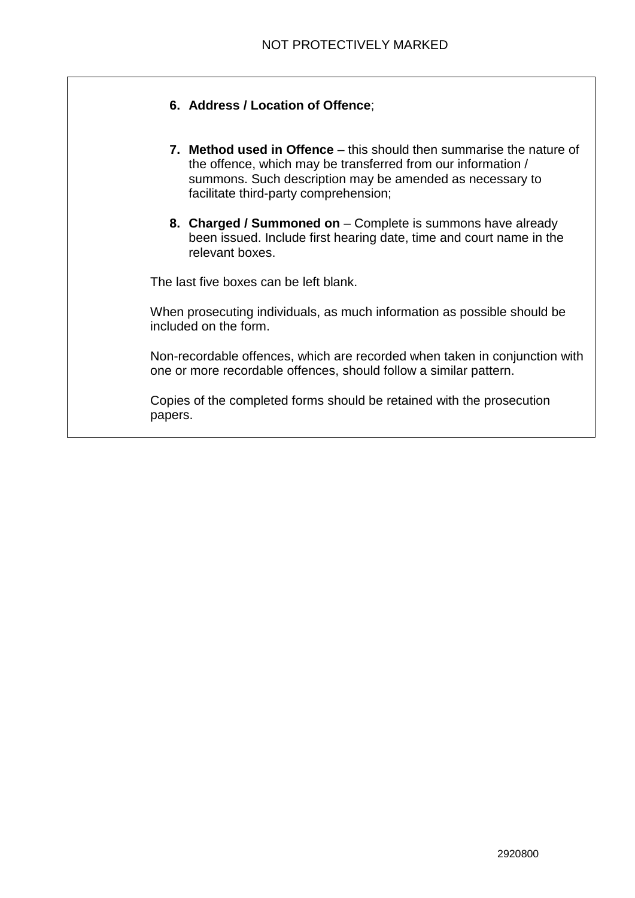- **6. Address / Location of Offence**;
- **7. Method used in Offence** this should then summarise the nature of the offence, which may be transferred from our information / summons. Such description may be amended as necessary to facilitate third-party comprehension;
- **8. Charged / Summoned on** Complete is summons have already been issued. Include first hearing date, time and court name in the relevant boxes.

The last five boxes can be left blank.

When prosecuting individuals, as much information as possible should be included on the form.

Non-recordable offences, which are recorded when taken in conjunction with one or more recordable offences, should follow a similar pattern.

Copies of the completed forms should be retained with the prosecution papers.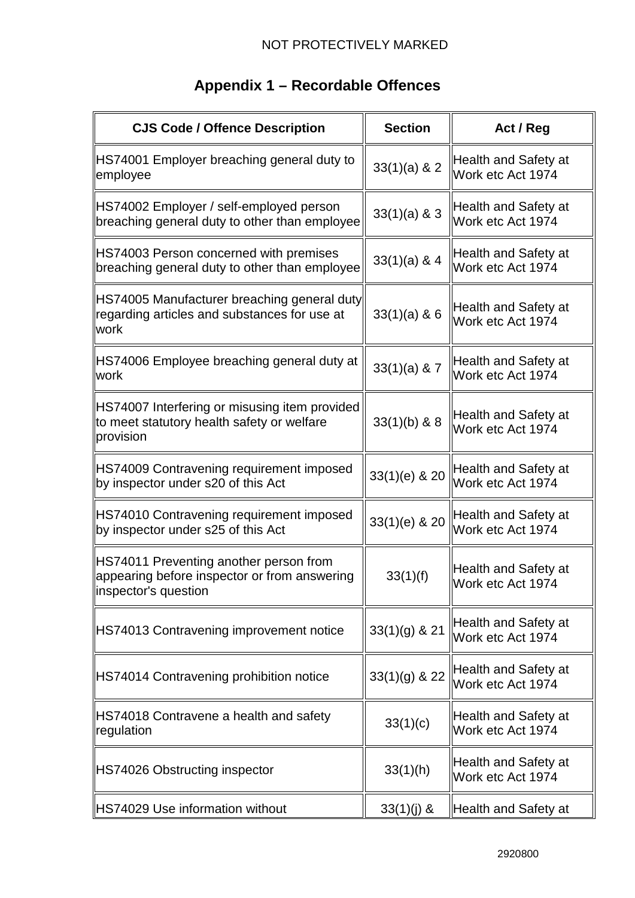| <b>CJS Code / Offence Description</b>                                                                           | <b>Section</b>  | Act / Reg                                 |
|-----------------------------------------------------------------------------------------------------------------|-----------------|-------------------------------------------|
| HS74001 Employer breaching general duty to<br>employee                                                          | $33(1)(a)$ & 2  | Health and Safety at<br>Work etc Act 1974 |
| HS74002 Employer / self-employed person<br>breaching general duty to other than employee                        | $33(1)(a)$ & 3  | Health and Safety at<br>Work etc Act 1974 |
| HS74003 Person concerned with premises<br>breaching general duty to other than employee                         | $33(1)(a)$ & 4  | Health and Safety at<br>Work etc Act 1974 |
| HS74005 Manufacturer breaching general duty<br>regarding articles and substances for use at<br>work             | $33(1)(a)$ & 6  | Health and Safety at<br>Work etc Act 1974 |
| HS74006 Employee breaching general duty at<br>work                                                              | $33(1)(a)$ & 7  | Health and Safety at<br>Work etc Act 1974 |
| HS74007 Interfering or misusing item provided<br>to meet statutory health safety or welfare<br>provision        | $33(1)(b)$ & 8  | Health and Safety at<br>Work etc Act 1974 |
| HS74009 Contravening requirement imposed<br>by inspector under s20 of this Act                                  | 33(1)(e) & 20   | Health and Safety at<br>Work etc Act 1974 |
| HS74010 Contravening requirement imposed<br>by inspector under s25 of this Act                                  | 33(1)(e) & 20   | Health and Safety at<br>Work etc Act 1974 |
| HS74011 Preventing another person from<br>appearing before inspector or from answering<br>linspector's question | 33(1)(f)        | Health and Safety at<br>Work etc Act 1974 |
| HS74013 Contravening improvement notice                                                                         | $33(1)(g)$ & 21 | Health and Safety at<br>Work etc Act 1974 |
| HS74014 Contravening prohibition notice                                                                         | $33(1)(g)$ & 22 | Health and Safety at<br>Work etc Act 1974 |
| HS74018 Contravene a health and safety<br>regulation                                                            | 33(1)(c)        | Health and Safety at<br>Work etc Act 1974 |
| HS74026 Obstructing inspector                                                                                   | 33(1)(h)        | Health and Safety at<br>Work etc Act 1974 |
| HS74029 Use information without                                                                                 | $33(1)(j)$ &    | Health and Safety at                      |

# **Appendix 1 – Recordable Offences**